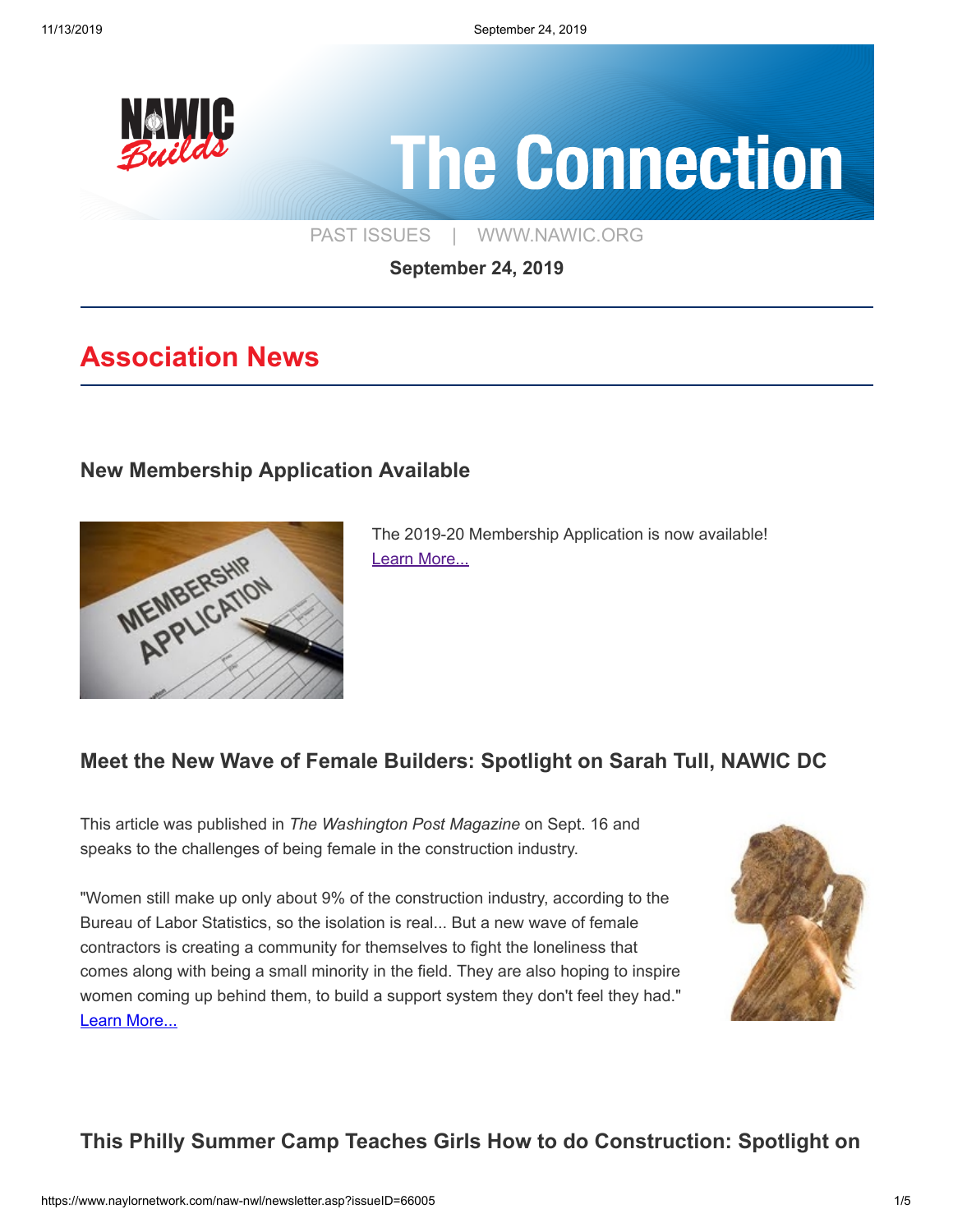

# **The Connection**

[PAST ISSUES](https://www.naylornetwork.com/naw-nwl/index.asp) | [WWW.NAWIC.ORG](https://www.nawic.org/nawic/default.asp)

**September 24, 2019**

# **Association News**

## **[New Membership Application Available](https://www.naylornetwork.com/naw-nwl/pdf/2019-2020memapp.pdf)**



The 2019-20 Membership Application is now available! [Learn More...](https://www.naylornetwork.com/naw-nwl/pdf/2019-2020memapp.pdf)

## **[Meet the New Wave of Female Builders: Spotlight on Sarah Tull, NAWIC DC](https://www.washingtonpost.com/news/magazine/wp/2019/09/16/feature/meet-the-new-wave-of-female-builders/?noredirect=on)**

This article was published in *The Washington Post Magazine* on Sept. 16 and speaks to the challenges of being female in the construction industry.

"Women still make up only about 9% of the construction industry, according to the Bureau of Labor Statistics, so the isolation is real... But a new wave of female contractors is creating a community for themselves to fight the loneliness that comes along with being a small minority in the field. They are also hoping to inspire women coming up behind them, to build a support system they don't feel they had." [Learn More...](https://www.washingtonpost.com/news/magazine/wp/2019/09/16/feature/meet-the-new-wave-of-female-builders/?noredirect=on)



## **[This Philly Summer Camp Teaches Girls How to do Construction: Spotlight on](https://www.inquirer.com/life/construction-camp-for-girls-philadelphia-mentoring-a-young-woman-in-construction-20190812.html?__vfz=medium%3Dsharebar)**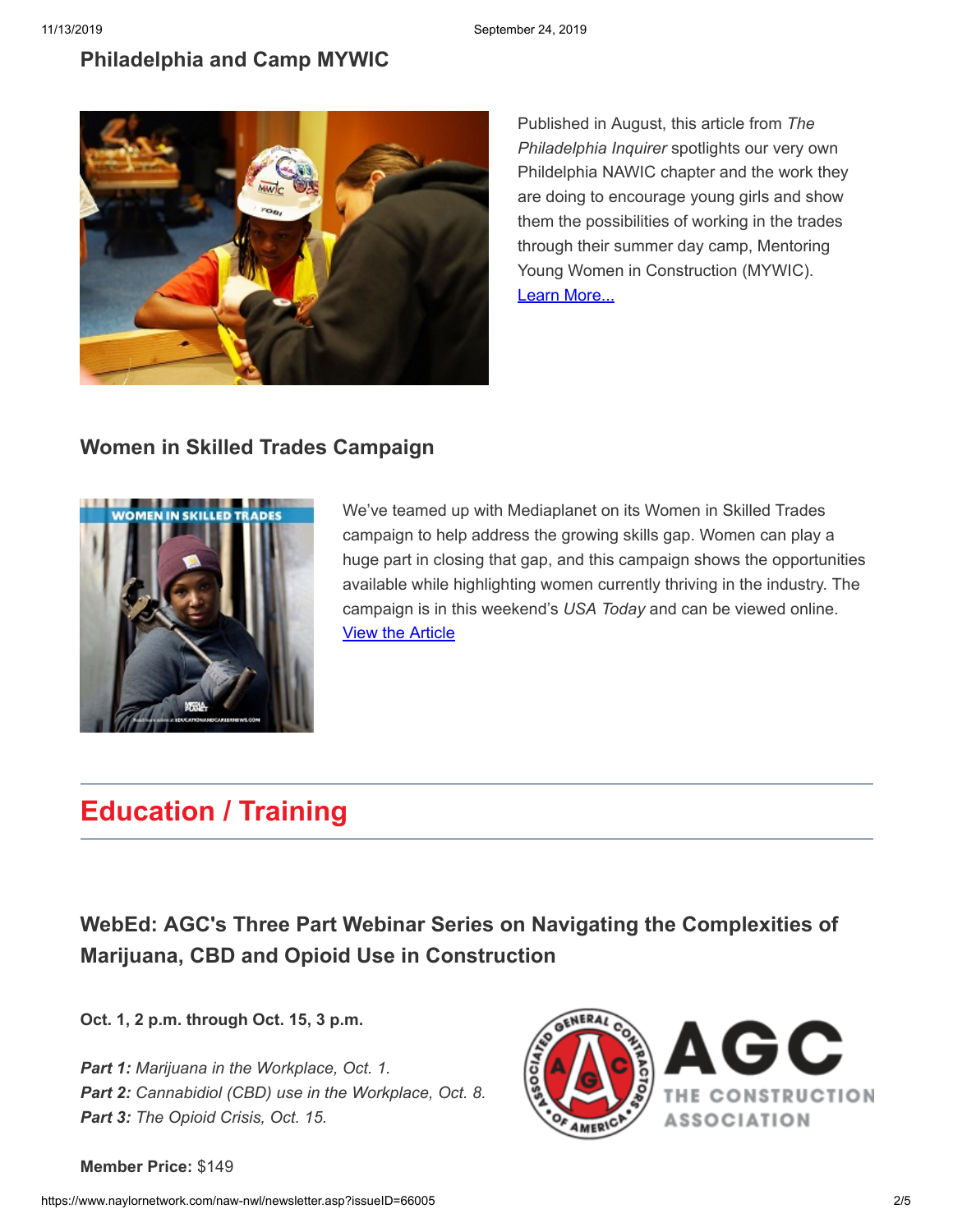#### **[Philadelphia and Camp MYWIC](https://www.inquirer.com/life/construction-camp-for-girls-philadelphia-mentoring-a-young-woman-in-construction-20190812.html?__vfz=medium%3Dsharebar)**



Published in August, this article from *The Philadelphia Inquirer* spotlights our very own Phildelphia NAWIC chapter and the work they are doing to encourage young girls and show them the possibilities of working in the trades through their summer day camp, Mentoring Young Women in Construction (MYWIC). [Learn More...](https://www.inquirer.com/life/construction-camp-for-girls-philadelphia-mentoring-a-young-woman-in-construction-20190812.html?__vfz=medium%3Dsharebar)

## **[Women in Skilled Trades Campaign](http://bit.ly/2PysaoN)**



We've teamed up with Mediaplanet on its Women in Skilled Trades campaign to help address the growing skills gap. Women can play a huge part in closing that gap, and this campaign shows the opportunities available while highlighting women currently thriving in the industry. The campaign is in this weekend's *USA Today* and can be viewed online. [View the Article](http://bit.ly/2PysaoN)

# **Education / Training**

**[WebEd: AGC's Three Part Webinar Series on Navigating the Complexities of](https://www.agc.org/learn/education-training/events/webed-agc%E2%80%99s-three-part-webinar-series-navigating-complexities) Marijuana, CBD and Opioid Use in Construction**

**Oct. 1, 2 p.m. through Oct. 15, 3 p.m.**

*Part 1: Marijuana in the Workplace, Oct. 1. Part 2: Cannabidiol (CBD) use in the Workplace, Oct. 8. Part 3: The Opioid Crisis, Oct. 15.*



**Member Price:** \$149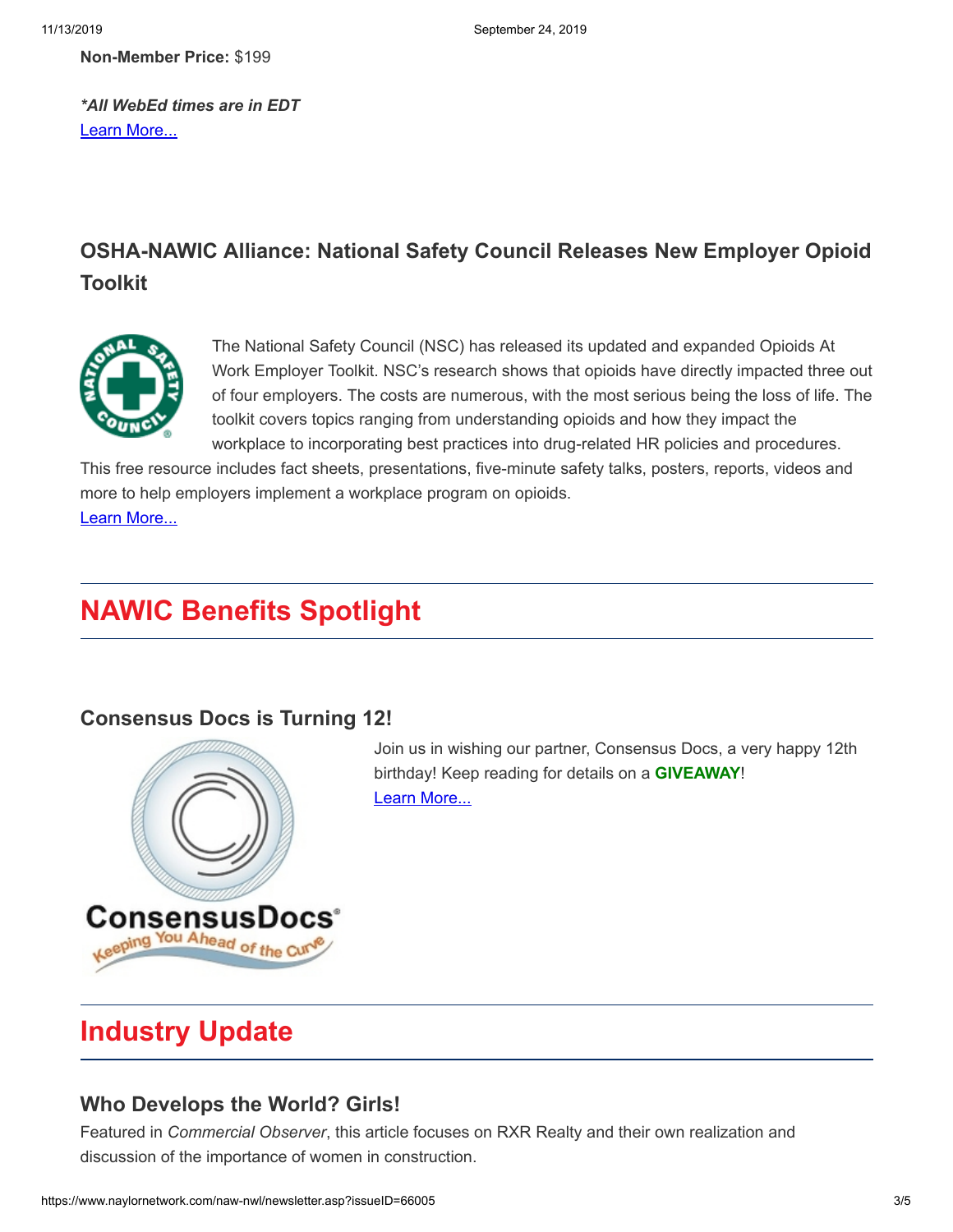**Non-Member Price:** \$199

*\*All WebEd times are in EDT* [Learn More...](https://www.agc.org/learn/education-training/events/webed-agc%E2%80%99s-three-part-webinar-series-navigating-complexities)

## **[OSHA-NAWIC Alliance: National Safety Council Releases New Employer Opioid](https://www.nsc.org/pages/prescription-drug-employer-kit) Toolkit**



The National Safety Council (NSC) has released its updated and expanded Opioids At Work Employer Toolkit. NSC's research shows that opioids have directly impacted three out of four employers. The costs are numerous, with the most serious being the loss of life. The toolkit covers topics ranging from understanding opioids and how they impact the workplace to incorporating best practices into drug-related HR policies and procedures.

This free resource includes fact sheets, presentations, five-minute safety talks, posters, reports, videos and more to help employers implement a workplace program on opioids. [Learn More...](https://www.nsc.org/pages/prescription-drug-employer-kit)

# **NAWIC Benefits Spotlight**

## **[Consensus Docs is Turning 12!](https://www.naylornetwork.com/naw-nwl/articles/index.asp?aid=581838&issueID=66005)**



Join us in wishing our partner, Consensus Docs, a very happy 12th birthday! Keep reading for details on a **GIVEAWAY**! [Learn More...](https://www.naylornetwork.com/naw-nwl/articles/index.asp?aid=581838&issueID=66005)

# **Industry Update**

#### **[Who Develops the World? Girls!](https://commercialobserver.com/2019/09/who-develops-the-world-girls/?fbclid=IwAR2xYpUETczF-ZprQkchUD4Kbaaedz031dnSkC-gEJOTKZdrhMHsA_g36Ec#.XXcYJKTxrKc.facebook)**

Featured in *Commercial Observer*, this article focuses on RXR Realty and their own realization and discussion of the importance of women in construction.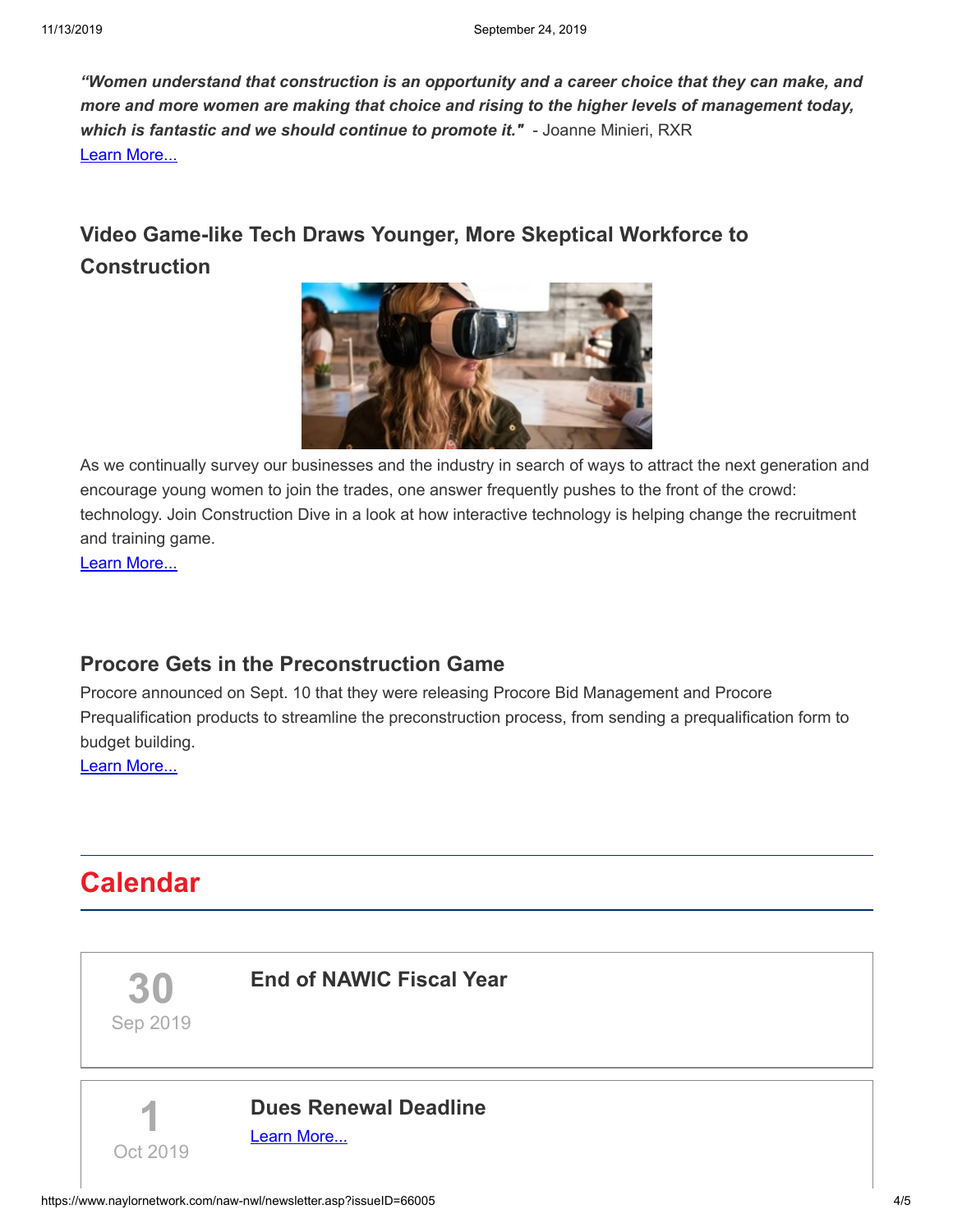*"Women understand that construction is an opportunity and a career choice that they can make, and more and more women are making that choice and rising to the higher levels of management today, which is fantastic and we should continue to promote it."* - Joanne Minieri, RXR [Learn More...](https://commercialobserver.com/2019/09/who-develops-the-world-girls/?fbclid=IwAR2xYpUETczF-ZprQkchUD4Kbaaedz031dnSkC-gEJOTKZdrhMHsA_g36Ec#.XXcYJKTxrKc.facebook)

## **[Video Game-like Tech Draws Younger, More Skeptical Workforce to](https://www.constructiondive.com/news/video-game-like-tech-draws-younger-more-skeptical-workforce-to-constructio/554638/) Construction**



As we continually survey our businesses and the industry in search of ways to attract the next generation and encourage young women to join the trades, one answer frequently pushes to the front of the crowd: technology. Join Construction Dive in a look at how interactive technology is helping change the recruitment and training game.

[Learn More...](https://www.constructiondive.com/news/video-game-like-tech-draws-younger-more-skeptical-workforce-to-constructio/554638/)

#### **[Procore Gets in the Preconstruction Game](https://www.constructiondive.com/news/procore-gets-in-the-preconstruction-game/562629/)**

Procore announced on Sept. 10 that they were releasing Procore Bid Management and Procore Prequalification products to streamline the preconstruction process, from sending a prequalification form to budget building.

[Learn More...](https://www.constructiondive.com/news/procore-gets-in-the-preconstruction-game/562629/)

# **Calendar**